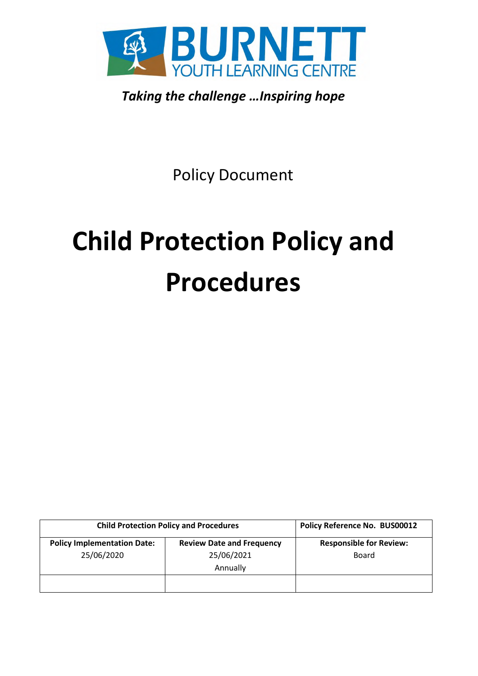

*Taking the challenge …Inspiring hope* 

Policy Document

# **Child Protection Policy and Procedures**

| <b>Child Protection Policy and Procedures</b>    |                                                            | Policy Reference No. BUS00012                  |
|--------------------------------------------------|------------------------------------------------------------|------------------------------------------------|
| <b>Policy Implementation Date:</b><br>25/06/2020 | <b>Review Date and Frequency</b><br>25/06/2021<br>Annually | <b>Responsible for Review:</b><br><b>Board</b> |
|                                                  |                                                            |                                                |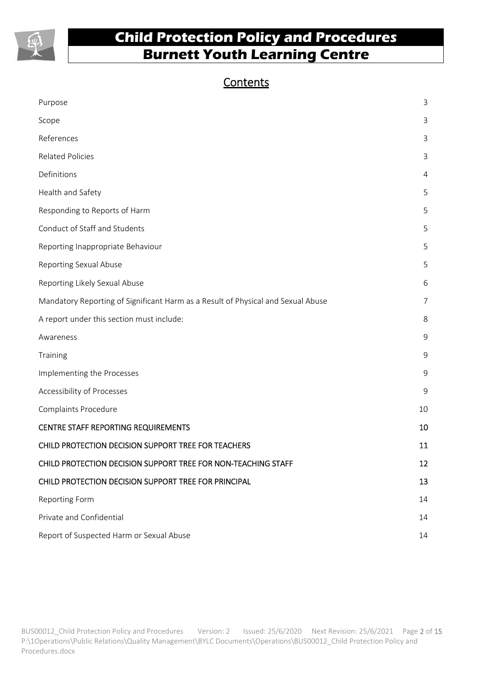

### **Contents**

| Purpose                                                                          | 3              |
|----------------------------------------------------------------------------------|----------------|
| Scope                                                                            | $\mathbf{3}$   |
| References                                                                       | 3              |
| <b>Related Policies</b>                                                          | 3              |
| Definitions                                                                      | $\overline{4}$ |
| Health and Safety                                                                | 5              |
| Responding to Reports of Harm                                                    | 5              |
| Conduct of Staff and Students                                                    | 5              |
| Reporting Inappropriate Behaviour                                                | 5              |
| Reporting Sexual Abuse                                                           | 5              |
| Reporting Likely Sexual Abuse                                                    | 6              |
| Mandatory Reporting of Significant Harm as a Result of Physical and Sexual Abuse | 7              |
| A report under this section must include:                                        | 8              |
| Awareness                                                                        | $\mathsf 9$    |
| Training                                                                         | 9              |
| Implementing the Processes                                                       | 9              |
| Accessibility of Processes                                                       | 9              |
| Complaints Procedure                                                             | 10             |
| CENTRE STAFF REPORTING REQUIREMENTS                                              | 10             |
| CHILD PROTECTION DECISION SUPPORT TREE FOR TEACHERS                              | 11             |
| CHILD PROTECTION DECISION SUPPORT TREE FOR NON-TEACHING STAFF                    | 12             |
| CHILD PROTECTION DECISION SUPPORT TREE FOR PRINCIPAL                             | 13             |
| <b>Reporting Form</b>                                                            | 14             |
| Private and Confidential                                                         | 14             |
| Report of Suspected Harm or Sexual Abuse                                         | 14             |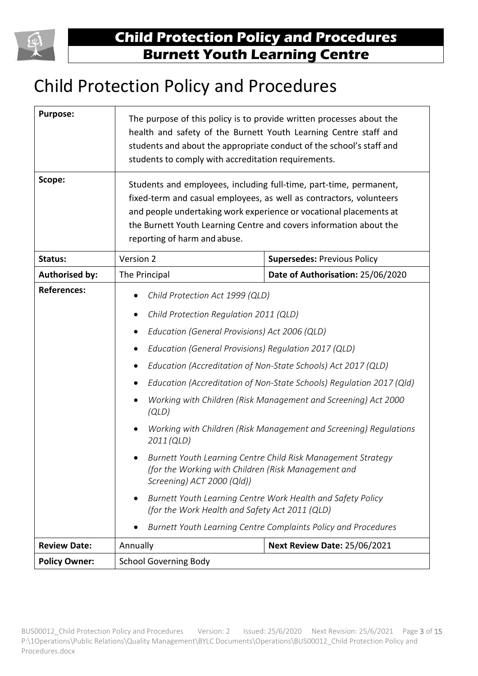

# Child Protection Policy and Procedures

| <b>Purpose:</b><br>Scope: | The purpose of this policy is to provide written processes about the<br>health and safety of the Burnett Youth Learning Centre staff and<br>students and about the appropriate conduct of the school's staff and<br>students to comply with accreditation requirements.<br>Students and employees, including full-time, part-time, permanent,<br>fixed-term and casual employees, as well as contractors, volunteers<br>and people undertaking work experience or vocational placements at<br>the Burnett Youth Learning Centre and covers information about the<br>reporting of harm and abuse.                                                                                                                                                                                                                                               |                                    |  |
|---------------------------|------------------------------------------------------------------------------------------------------------------------------------------------------------------------------------------------------------------------------------------------------------------------------------------------------------------------------------------------------------------------------------------------------------------------------------------------------------------------------------------------------------------------------------------------------------------------------------------------------------------------------------------------------------------------------------------------------------------------------------------------------------------------------------------------------------------------------------------------|------------------------------------|--|
| Status:                   | Version 2                                                                                                                                                                                                                                                                                                                                                                                                                                                                                                                                                                                                                                                                                                                                                                                                                                      | <b>Supersedes: Previous Policy</b> |  |
| <b>Authorised by:</b>     | The Principal                                                                                                                                                                                                                                                                                                                                                                                                                                                                                                                                                                                                                                                                                                                                                                                                                                  | Date of Authorisation: 25/06/2020  |  |
| <b>References:</b>        | Child Protection Act 1999 (QLD)<br>Child Protection Regulation 2011 (QLD)<br>Education (General Provisions) Act 2006 (QLD)<br>$\bullet$<br>Education (General Provisions) Regulation 2017 (QLD)<br>Education (Accreditation of Non-State Schools) Act 2017 (QLD)<br>Education (Accreditation of Non-State Schools) Regulation 2017 (Qld)<br>Working with Children (Risk Management and Screening) Act 2000<br>(QLD)<br>Working with Children (Risk Management and Screening) Regulations<br>2011 (QLD)<br>Burnett Youth Learning Centre Child Risk Management Strategy<br>(for the Working with Children (Risk Management and<br>Screening) ACT 2000 (Qld))<br>Burnett Youth Learning Centre Work Health and Safety Policy<br>(for the Work Health and Safety Act 2011 (QLD)<br>Burnett Youth Learning Centre Complaints Policy and Procedures |                                    |  |
| <b>Review Date:</b>       | <b>Next Review Date: 25/06/2021</b><br>Annually                                                                                                                                                                                                                                                                                                                                                                                                                                                                                                                                                                                                                                                                                                                                                                                                |                                    |  |
| <b>Policy Owner:</b>      | <b>School Governing Body</b>                                                                                                                                                                                                                                                                                                                                                                                                                                                                                                                                                                                                                                                                                                                                                                                                                   |                                    |  |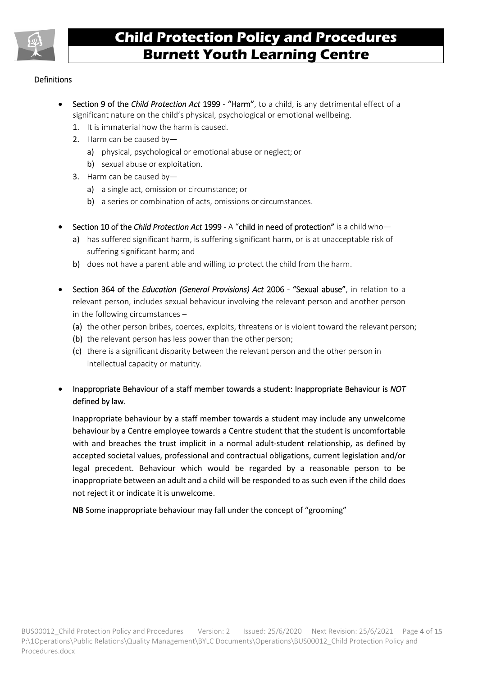

#### **Definitions**

- Section 9 of the *Child Protection Act* 1999 "Harm", to a child, is any detrimental effect of a significant nature on the child's physical, psychological or emotional wellbeing.
	- 1. It is immaterial how the harm is caused.
	- 2. Harm can be caused by
		- a) physical, psychological or emotional abuse or neglect; or
		- b) sexual abuse or exploitation.
	- 3. Harm can be caused by
		- a) a single act, omission or circumstance; or
		- b) a series or combination of acts, omissions or circumstances.
- Section 10 of the *Child Protection Act* 1999 A "child in need of protection" is a child who
	- a) has suffered significant harm, is suffering significant harm, or is at unacceptable risk of suffering significant harm; and
	- b) does not have a parent able and willing to protect the child from the harm.
- Section 364 of the *Education (General Provisions) Act* 2006 "Sexual abuse", in relation to a relevant person, includes sexual behaviour involving the relevant person and another person in the following circumstances –
	- (a) the other person bribes, coerces, exploits, threatens or is violent toward the relevant person;
	- (b) the relevant person has less power than the other person;
	- (c) there is a significant disparity between the relevant person and the other person in intellectual capacity or maturity.
- Inappropriate Behaviour of a staff member towards a student: Inappropriate Behaviour is *NOT*  defined by law.

Inappropriate behaviour by a staff member towards a student may include any unwelcome behaviour by a Centre employee towards a Centre student that the student is uncomfortable with and breaches the trust implicit in a normal adult-student relationship, as defined by accepted societal values, professional and contractual obligations, current legislation and/or legal precedent. Behaviour which would be regarded by a reasonable person to be inappropriate between an adult and a child will be responded to as such even if the child does not reject it or indicate it is unwelcome.

**NB** Some inappropriate behaviour may fall under the concept of "grooming"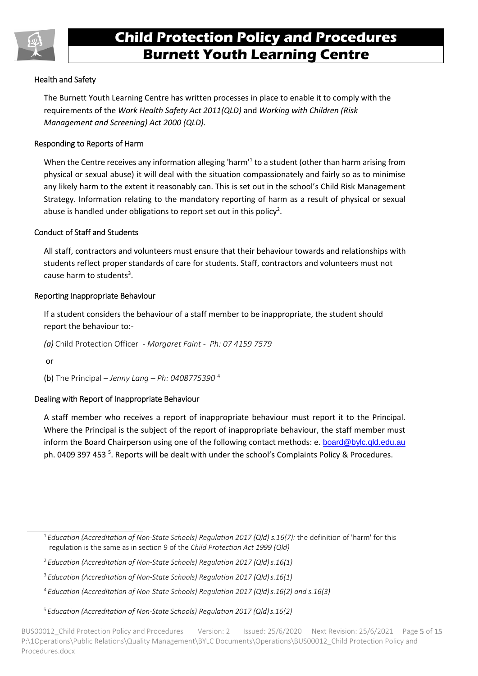

#### Health and Safety

The Burnett Youth Learning Centre has written processes in place to enable it to comply with the requirements of the *Work Health Safety Act 2011(QLD)* and *Working with Children (Risk Management and Screening) Act 2000 (QLD).* 

#### Responding to Reports of Harm

When the Centre receives any information alleging 'harm'<sup>1</sup> to a student (other than harm arising from physical or sexual abuse) it will deal with the situation compassionately and fairly so as to minimise any likely harm to the extent it reasonably can. This is set out in the school's Child Risk Management Strategy. Information relating to the mandatory reporting of harm as a result of physical or sexual abuse is handled under obligations to report set out in this policy<sup>2</sup>.

#### Conduct of Staff and Students

All staff, contractors and volunteers must ensure that their behaviour towards and relationships with students reflect proper standards of care for students. Staff, contractors and volunteers must not cause harm to students<sup>3</sup>.

#### Reporting Inappropriate Behaviour

If a student considers the behaviour of a staff member to be inappropriate, the student should report the behaviour to:-

*(a)* Child Protection Officer *- Margaret Faint - Ph: 07 4159 7579* 

or

(b) The Principal – *Jenny Lang – Ph: 0408775390* <sup>4</sup>

#### Dealing with Report of Inappropriate Behaviour

A staff member who receives a report of inappropriate behaviour must report it to the Principal. Where the Principal is the subject of the report of inappropriate behaviour, the staff member must inform the Board Chairperson using one of the following contact methods: e. board@bylc.qld.edu.au ph. 0409 397 453<sup>5</sup>. Reports will be dealt with under the school's Complaints Policy & Procedures.

<sup>1</sup>*Education (Accreditation of Non-State Schools) Regulation 2017 (Qld) s.16(7):* the definition of 'harm' for this regulation is the same as in section 9 of the *Child Protection Act 1999 (Qld)* 

<sup>2</sup>*Education (Accreditation of Non-State Schools) Regulation 2017 (Qld) s.16(1)* 

<sup>3</sup>*Education (Accreditation of Non-State Schools) Regulation 2017 (Qld) s.16(1)* 

<sup>4</sup>*Education (Accreditation of Non-State Schools) Regulation 2017 (Qld) s.16(2) and s.16(3)* 

 <sup>5</sup> *Education (Accreditation of Non-State Schools) Regulation 2017 (Qld) s.16(2)* 

BUS00012 Child Protection Policy and Procedures Version: 2 Issued: 25/6/2020 Next Revision: 25/6/2021 Page 5 of 15 P:\1Operations\Public Relations\Quality Management\BYLC Documents\Operations\BUS00012\_Child Protection Policy and Procedures.docx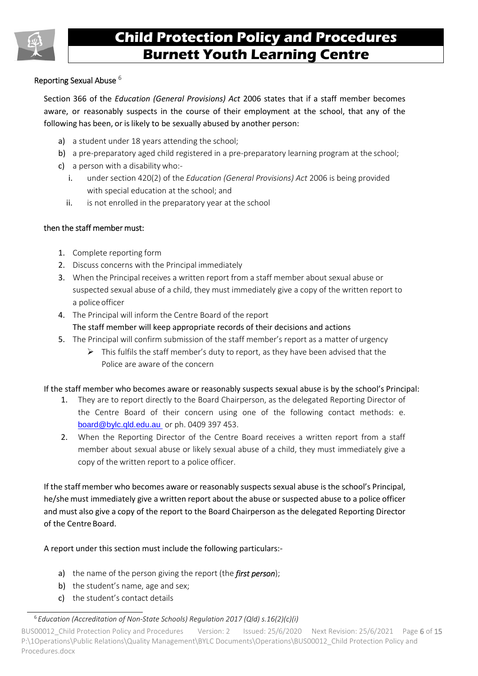

#### Reporting Sexual Abuse <sup>6</sup>

Section 366 of the *Education (General Provisions) Act* 2006 states that if a staff member becomes aware, or reasonably suspects in the course of their employment at the school, that any of the following has been, or is likely to be sexually abused by another person:

- a) a student under 18 years attending the school;
- b) a pre-preparatory aged child registered in a pre-preparatory learning program at the school;
- c) a person with a disability who:
	- i. under section 420(2) of the *Education (General Provisions) Act* 2006 is being provided with special education at the school; and
	- ii. is not enrolled in the preparatory year at the school

#### then the staff member must:

- 1. Complete reporting form
- 2. Discuss concerns with the Principal immediately
- 3. When the Principal receives a written report from a staff member about sexual abuse or suspected sexual abuse of a child, they must immediately give a copy of the written report to a police officer
- 4. The Principal will inform the Centre Board of the report
	- The staff member will keep appropriate records of their decisions and actions
- 5. The Principal will confirm submission of the staff member's report as a matter of urgency
	- $\triangleright$  This fulfils the staff member's duty to report, as they have been advised that the Police are aware of the concern

#### If the staff member who becomes aware or reasonably suspects sexual abuse is by the school's Principal:

- 1. They are to report directly to the Board Chairperson, as the delegated Reporting Director of the Centre Board of their concern using one of the following contact methods: e. [board@bylc.qld.edu.au](mailto:board@bylc.qld.edu.au) or ph. 0409 397 453.
- 2. When the Reporting Director of the Centre Board receives a written report from a staff member about sexual abuse or likely sexual abuse of a child, they must immediately give a copy of the written report to a police officer.

If the staff member who becomes aware or reasonably suspects sexual abuse is the school's Principal, he/she must immediately give a written report about the abuse or suspected abuse to a police officer and must also give a copy of the report to the Board Chairperson as the delegated Reporting Director of the Centre Board.

A report under this section must include the following particulars:-

- a) the name of the person giving the report (the *first person*);
- b) the student's name, age and sex;
- c) the student's contact details

<sup>6</sup> *Education (Accreditation of Non-State Schools) Regulation 2017 (Qld) s.16(2)(c)(i)*

BUS00012 Child Protection Policy and Procedures Version: 2 Issued: 25/6/2020 Next Revision: 25/6/2021 Page 6 of 15 P:\1Operations\Public Relations\Quality Management\BYLC Documents\Operations\BUS00012\_Child Protection Policy and Procedures.docx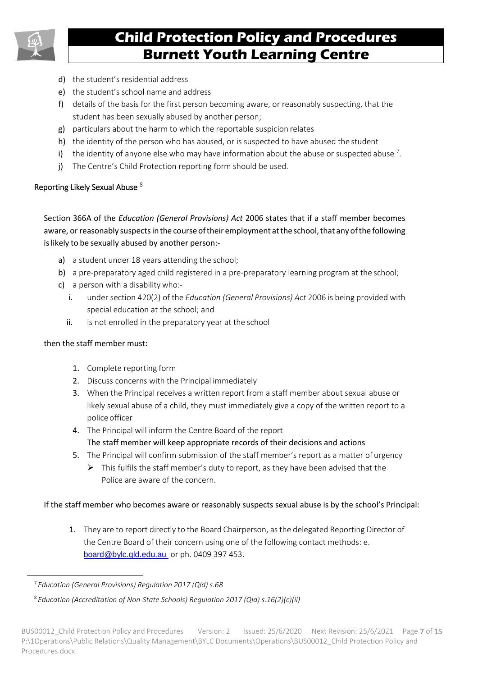

- d) the student's residential address
- e) the student's school name and address
- f) details of the basis for the first person becoming aware, or reasonably suspecting, that the student has been sexually abused by another person;
- g) particulars about the harm to which the reportable suspicion relates
- h) the identity of the person who has abused, or is suspected to have abused the student
- i) the identity of anyone else who may have information about the abuse or suspected abuse  $7$ .
- j) The Centre's Child Protection reporting form should be used.

#### Reporting Likely Sexual Abuse  $8$

Section 366A of the *Education (General Provisions) Act* 2006 states that if a staff member becomes aware, or reasonably suspects in the course of their employment at the school, that any of the following is likely to be sexually abused by another person:-

- a) a student under 18 years attending the school;
- b) a pre-preparatory aged child registered in a pre-preparatory learning program at the school;
- c) a person with a disability who:
	- i. under section 420(2) of the *Education (General Provisions) Act* 2006 is being provided with special education at the school; and
	- ii. is not enrolled in the preparatory year at the school

#### then the staff member must:

- 1. Complete reporting form
- 2. Discuss concerns with the Principal immediately
- 3. When the Principal receives a written report from a staff member about sexual abuse or likely sexual abuse of a child, they must immediately give a copy of the written report to a police officer
- 4. The Principal will inform the Centre Board of the report The staff member will keep appropriate records of their decisions and actions
- 5. The Principal will confirm submission of the staff member's report as a matter of urgency
	- $\triangleright$  This fulfils the staff member's duty to report, as they have been advised that the Police are aware of the concern.

#### If the staff member who becomes aware or reasonably suspects sexual abuse is by the school's Principal:

1. They are to report directly to the Board Chairperson, as the delegated Reporting Director of the Centre Board of their concern using one of the following contact methods: e. [board@bylc.qld.edu.au](mailto:board@bylc.qld.edu.au) or ph. 0409 397 453.

<sup>7</sup>*Education (General Provisions) Regulation 2017 (Qld) s.68* 

<sup>8</sup> *Education (Accreditation of Non-State Schools) Regulation 2017 (Qld) s.16(2)(c)(ii)*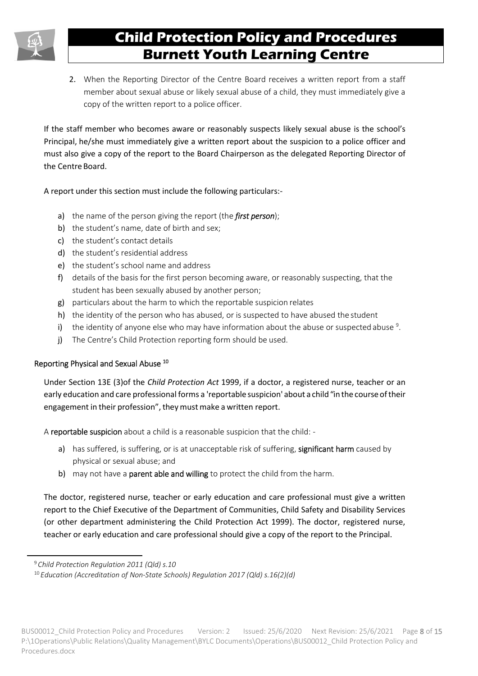2. When the Reporting Director of the Centre Board receives a written report from a staff member about sexual abuse or likely sexual abuse of a child, they must immediately give a copy of the written report to a police officer.

If the staff member who becomes aware or reasonably suspects likely sexual abuse is the school's Principal, he/she must immediately give a written report about the suspicion to a police officer and must also give a copy of the report to the Board Chairperson as the delegated Reporting Director of the Centre Board.

A report under this section must include the following particulars:-

- a) the name of the person giving the report (the *first person*);
- b) the student's name, date of birth and sex;
- c) the student's contact details
- d) the student's residential address
- e) the student's school name and address
- f) details of the basis for the first person becoming aware, or reasonably suspecting, that the student has been sexually abused by another person;
- g) particulars about the harm to which the reportable suspicion relates
- h) the identity of the person who has abused, or is suspected to have abused the student
- i) the identity of anyone else who may have information about the abuse or suspected abuse  $9$ .
- j) The Centre's Child Protection reporting form should be used.

#### Reporting Physical and Sexual Abuse<sup>10</sup>

Under Section 13E (3)of the *Child Protection Act* 1999, if a doctor, a registered nurse, teacher or an early education and care professional forms a 'reportable suspicion' about a child "in the course of their engagement in their profession", they must make a written report.

A reportable suspicion about a child is a reasonable suspicion that the child: -

- a) has suffered, is suffering, or is at unacceptable risk of suffering, significant harm caused by physical or sexual abuse; and
- b) may not have a **parent able and willing** to protect the child from the harm.

The doctor, registered nurse, teacher or early education and care professional must give a written report to the Chief Executive of the Department of Communities, Child Safety and Disability Services (or other department administering the Child Protection Act 1999). The doctor, registered nurse, teacher or early education and care professional should give a copy of the report to the Principal.

<sup>9</sup>*Child Protection Regulation 2011 (Qld) s.10* 

<sup>10</sup> *Education (Accreditation of Non-State Schools) Regulation 2017 (Qld) s.16(2)(d)*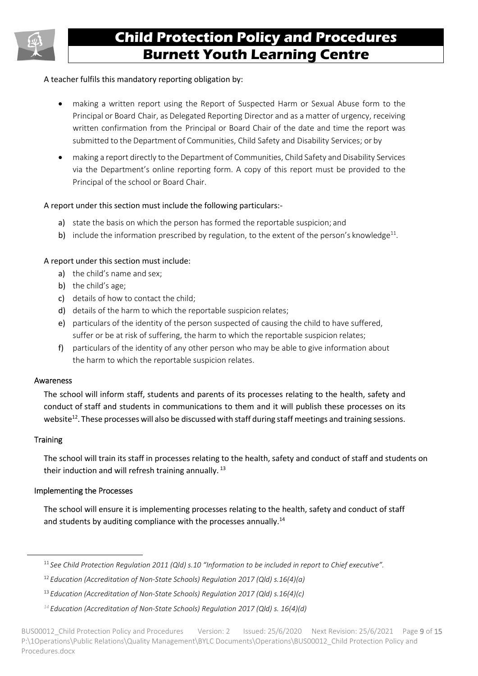

#### A teacher fulfils this mandatory reporting obligation by:

- making a written report using the Report of Suspected Harm or Sexual Abuse form to the Principal or Board Chair, as Delegated Reporting Director and as a matter of urgency, receiving written confirmation from the Principal or Board Chair of the date and time the report was submitted to the Department of Communities, Child Safety and Disability Services; or by
- making a report directly to the Department of Communities, Child Safety and Disability Services via the Department's online reporting form. A copy of this report must be provided to the Principal of the school or Board Chair.

#### A report under this section must include the following particulars:-

- a) state the basis on which the person has formed the reportable suspicion; and
- b) include the information prescribed by regulation, to the extent of the person's knowledge $^{11}$ .

#### A report under this section must include:

- a) the child's name and sex;
- b) the child's age;
- c) details of how to contact the child;
- d) details of the harm to which the reportable suspicion relates;
- e) particulars of the identity of the person suspected of causing the child to have suffered, suffer or be at risk of suffering, the harm to which the reportable suspicion relates;
- f) particulars of the identity of any other person who may be able to give information about the harm to which the reportable suspicion relates.

#### Awareness

The school will inform staff, students and parents of its processes relating to the health, safety and conduct of staff and students in communications to them and it will publish these processes on its website<sup>12</sup>. These processes will also be discussed with staff during staff meetings and training sessions.

#### **Training**

The school will train its staff in processes relating to the health, safety and conduct of staff and students on their induction and will refresh training annually.<sup>13</sup>

#### Implementing the Processes

The school will ensure it is implementing processes relating to the health, safety and conduct of staff and students by auditing compliance with the processes annually.<sup>14</sup>

<sup>11</sup>*See Child Protection Regulation 2011 (Qld) s.10 "Information to be included in report to Chief executive".* 

<sup>12</sup>*Education (Accreditation of Non-State Schools) Regulation 2017 (Qld) s.16(4)(a)* 

<sup>13</sup>*Education (Accreditation of Non-State Schools) Regulation 2017 (Qld) s.16(4)(c)* 

*<sup>14</sup> Education (Accreditation of Non-State Schools) Regulation 2017 (Qld) s. 16(4)(d)*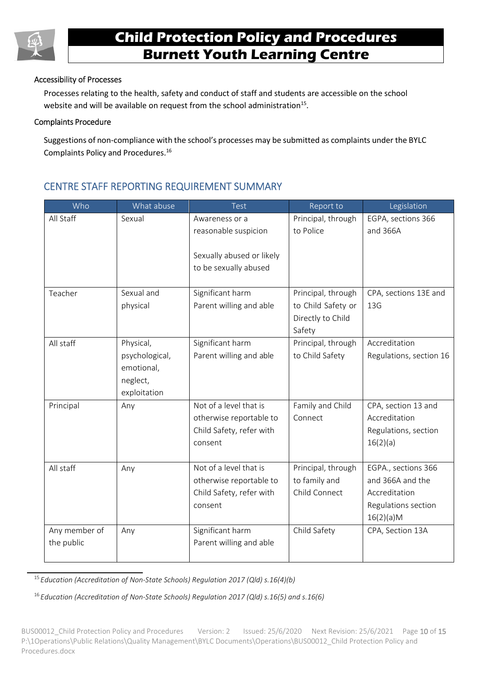

#### Accessibility of Processes

Processes relating to the health, safety and conduct of staff and students are accessible on the school website and will be available on request from the school administration $^{15}$ .

#### Complaints Procedure

Suggestions of non-compliance with the school's processes may be submitted as complaints under the BYLC Complaints Policy and Procedures.<sup>16</sup>

### CENTRE STAFF REPORTING REQUIREMENT SUMMARY

| Who           | What abuse     | Test                      | Report to          | Legislation             |
|---------------|----------------|---------------------------|--------------------|-------------------------|
| All Staff     | Sexual         | Awareness or a            | Principal, through | EGPA, sections 366      |
|               |                | reasonable suspicion      | to Police          | and 366A                |
|               |                |                           |                    |                         |
|               |                | Sexually abused or likely |                    |                         |
|               |                | to be sexually abused     |                    |                         |
|               |                |                           |                    |                         |
| Teacher       | Sexual and     | Significant harm          | Principal, through | CPA, sections 13E and   |
|               | physical       | Parent willing and able   | to Child Safety or | 13G                     |
|               |                |                           | Directly to Child  |                         |
|               |                |                           | Safety             |                         |
| All staff     | Physical,      | Significant harm          | Principal, through | Accreditation           |
|               | psychological, | Parent willing and able   | to Child Safety    | Regulations, section 16 |
|               | emotional,     |                           |                    |                         |
|               | neglect,       |                           |                    |                         |
|               | exploitation   |                           |                    |                         |
| Principal     | Any            | Not of a level that is    | Family and Child   | CPA, section 13 and     |
|               |                | otherwise reportable to   | Connect            | Accreditation           |
|               |                | Child Safety, refer with  |                    | Regulations, section    |
|               |                | consent                   |                    | 16(2)(a)                |
|               |                |                           |                    |                         |
| All staff     | Any            | Not of a level that is    | Principal, through | EGPA., sections 366     |
|               |                | otherwise reportable to   | to family and      | and 366A and the        |
|               |                | Child Safety, refer with  | Child Connect      | Accreditation           |
|               |                | consent                   |                    | Regulations section     |
|               |                |                           |                    | 16(2)(a)M               |
| Any member of | Any            | Significant harm          | Child Safety       | CPA, Section 13A        |
| the public    |                | Parent willing and able   |                    |                         |
|               |                |                           |                    |                         |

<sup>15</sup>*Education (Accreditation of Non-State Schools) Regulation 2017 (Qld) s.16(4)(b)*

16 *Education (Accreditation of Non-State Schools) Regulation 2017 (Qld) s.16(5) and s.16(6)* 

BUS00012 Child Protection Policy and Procedures Version: 2 Issued: 25/6/2020 Next Revision: 25/6/2021 Page 10 of 15 P:\1Operations\Public Relations\Quality Management\BYLC Documents\Operations\BUS00012\_Child Protection Policy and Procedures.docx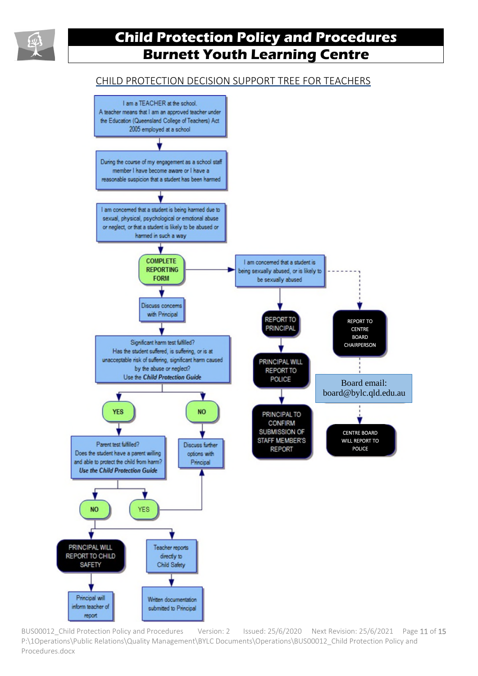

### CHILD PROTECTION DECISION SUPPORT TREE FOR TEACHERS



BUS00012\_Child Protection Policy and Procedures Version: 2 Issued: 25/6/2020 Next Revision: 25/6/2021 Page 11 of 15 P:\1Operations\Public Relations\Quality Management\BYLC Documents\Operations\BUS00012\_Child Protection Policy and Procedures.docx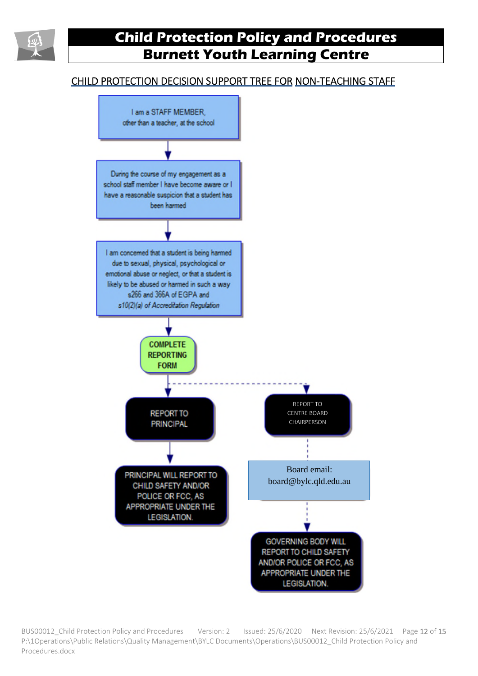

### CHILD PROTECTION DECISION SUPPORT TREE FOR NON-TEACHING STAFF



BUS00012 Child Protection Policy and Procedures Version: 2 Issued: 25/6/2020 Next Revision: 25/6/2021 Page 12 of 15 P:\1Operations\Public Relations\Quality Management\BYLC Documents\Operations\BUS00012\_Child Protection Policy and Procedures.docx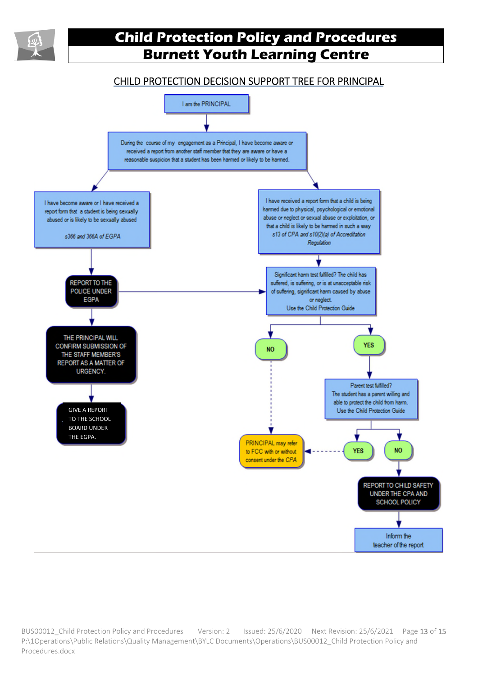

### CHILD PROTECTION DECISION SUPPORT TREE FOR PRINCIPAL



BUS00012\_Child Protection Policy and Procedures Version: 2 Issued: 25/6/2020 Next Revision: 25/6/2021 Page 13 of 15 P:\1Operations\Public Relations\Quality Management\BYLC Documents\Operations\BUS00012\_Child Protection Policy and Procedures.docx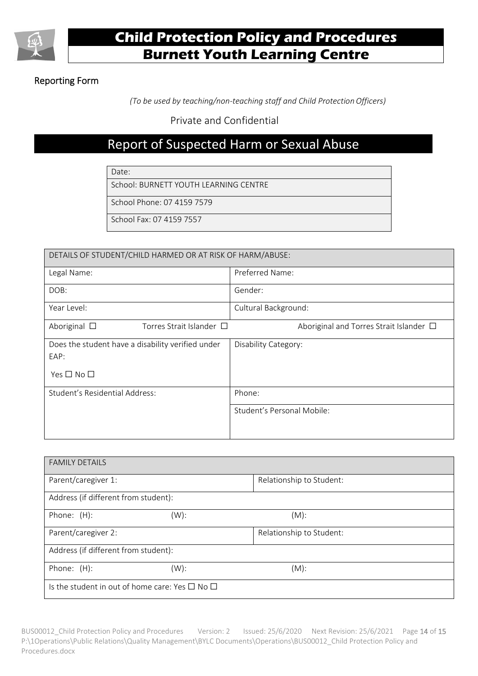

### Reporting Form

 *(To be used by teaching/non-teaching staff and Child Protection Officers)* 

Private and Confidential

### Report of Suspected Harm or Sexual Abuse

Date:

School: BURNETT YOUTH LEARNING CENTRE

School Phone: 07 4159 7579

School Fax: 07 4159 7557

| DETAILS OF STUDENT/CHILD HARMED OR AT RISK OF HARM/ABUSE: |  |  |
|-----------------------------------------------------------|--|--|
| Preferred Name:                                           |  |  |
| Gender:                                                   |  |  |
| Cultural Background:                                      |  |  |
| Aboriginal and Torres Strait Islander □                   |  |  |
| Disability Category:                                      |  |  |
| Phone:<br>Student's Personal Mobile:                      |  |  |
|                                                           |  |  |

| <b>FAMILY DETAILS</b>                |                                                          |                          |  |
|--------------------------------------|----------------------------------------------------------|--------------------------|--|
| Parent/caregiver 1:                  |                                                          | Relationship to Student: |  |
| Address (if different from student): |                                                          |                          |  |
| Phone: (H):                          | $(W)$ :                                                  | $(M)$ :                  |  |
| Parent/caregiver 2:                  |                                                          | Relationship to Student: |  |
| Address (if different from student): |                                                          |                          |  |
| Phone: (H):                          | $(W)$ :                                                  | $(M)$ :                  |  |
|                                      | Is the student in out of home care: Yes $\Box$ No $\Box$ |                          |  |

BUS00012\_Child Protection Policy and Procedures Version: 2 Issued: 25/6/2020 Next Revision: 25/6/2021 Page 14 of 15 P:\1Operations\Public Relations\Quality Management\BYLC Documents\Operations\BUS00012\_Child Protection Policy and Procedures.docx